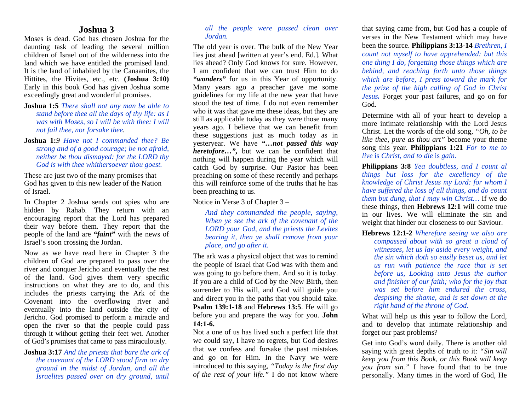## **Joshua 3**

Moses is dead. God has chosen Joshua for the daunting task of leading the several million children of Israel out of the wilderness into the land which we have entitled the promised land. It is the land of inhabited by the Canaanites, the Hittites, the Hivites, etc., etc. **(Joshua 3:10)**  Early in this book God has given Joshua some exceedingly great and wonderful promises.

- **Joshua 1:5** *There shall not any man be able to stand before thee all the days of thy life: as I was with Moses, so I will be with thee: I will not fail thee, nor forsake thee.*
- **Joshua 1:***9 Have not I commanded thee? Be strong and of a good courage; be not afraid, neither be thou dismayed: for the LORD thy God is with thee whithersoever thou goest.*

These are just two of the many promises that God has given to this new leader of the Nation of Israel.

In Chapter 2 Joshua sends out spies who are hidden by Rahab. They return with an encouraging report that the Lord has prepared their way before them. They report that the people of the land are *"faint"* with the news of Israel's soon crossing the Jordan.

Now as we have read here in Chapter 3 the children of God are prepared to pass over the river and conquer Jericho and eventually the rest of the land. God gives them very specific instructions on what they are to do, and this includes the priests carrying the Ark of the Covenant into the overflowing river and eventually into the land outside the city of Jericho. God promised to perform a miracle and open the river so that the people could pass through it without getting their feet wet. Another of God's promises that came to pass miraculously.

**Joshua 3:17** *And the priests that bare the ark of the covenant of the LORD stood firm on dry ground in the midst of Jordan, and all the Israelites passed over on dry ground, until* 

## *all the people were passed clean over Jordan.*

The old year is over. The bulk of the New Year lies just ahead [written at year's end. Ed.]. What lies ahead? Only God knows for sure. However, I am confident that we can trust Him to do *"wonders"* for us in this Year of opportunity. Many years ago a preacher gave me some guidelines for my life at the new year that have stood the test of time. I do not even remember who it was that gave me these ideas, but they are still as applicable today as they were those many years ago. I believe that we can benefit from these suggestions just as much today as in yesteryear. We have *"…not passed this way heretofore*...", but we can be confident that nothing will happen during the year which will catch God by surprise. Our Pastor has been preaching on some of these recently and perhaps this will reinforce some of the truths that he has been preaching to us.

Notice in Verse 3 of Chapter 3 –

*And they commanded the people, saying, When ye see the ark of the covenant of the LORD your God, and the priests the Levites bearing it, then ye shall remove from your place, and go after it.* 

The ark was a physical object that was to remind the people of Israel that God was with them and was going to go before them. And so it is today. If you are a child of God by the New Birth, then surrender to His will, and God will guide you and direct you in the paths that you should take. **Psalm 139:1-18** and **Hebrews 13:5**. He will go before you and prepare the way for you. **John 14:1-6.** 

Not a one of us has lived such a perfect life that we could say, I have no regrets, but God desires that we confess and forsake the past mistakes and go on for Him. In the Navy we were introduced to this saying, *"Today is the first day of the rest of your life."* I do not know where that saying came from, but God has a couple of verses in the New Testament which may have been the source. **Philippians 3:13-14** *Brethren, I count not myself to have apprehended: but this one thing I do, forgetting those things which are behind, and reaching forth unto those things which are before, I press toward the mark for the prize of the high calling of God in Christ Jesus.* Forget your past failures, and go on for God.

Determine with all of your heart to develop a more intimate relationship with the Lord Jesus Christ. Let the words of the old song, *"Oh, to be like thee, pure as thou art"* become your theme song this year. **Philippians 1:21** *For to me to live* is *Christ, and to die* is *gain.* 

**Philippians 3:8** *Yea doubtless, and I count al things but loss for the excellency of the knowledge of Christ Jesus my Lord: for whom I have suffered the loss of all things, and do count them but dung, that I may win Christ…* If we do these things, then **Hebrews 12:1** will come true in our lives. We will eliminate the sin and weight that hinder our closeness to our Saviour.

**Hebrews 12:1-2** *Wherefore seeing we also are compassed about with so great a cloud of witnesses, let us lay aside every weight, and the sin which doth so easily beset us, and let us run with patience the race that is set before us, Looking unto Jesus the author and finisher of our faith; who for the joy that was set before him endured the cross, despising the shame, and is set down at the right hand of the throne of God.*

What will help us this year to follow the Lord, and to develop that intimate relationship and forget our past problems?

Get into God's word daily. There is another old saying with great depths of truth to it: *"Sin will keep you from this Book, or this Book will keep you from sin."* I have found that to be true personally. Many times in the word of God, He